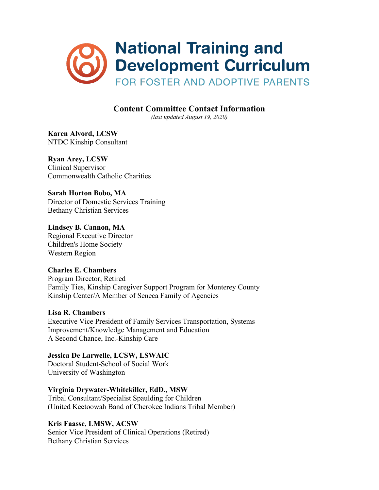

# **Content Committee Contact Information**

*(last updated August 19, 2020)*

**Karen Alvord, LCSW** NTDC Kinship Consultant

**Ryan Arey, LCSW** Clinical Supervisor Commonwealth Catholic Charities

**Sarah Horton Bobo, MA** Director of Domestic Services Training Bethany Christian Services

**Lindsey B. Cannon, MA**  Regional Executive Director Children's Home Society Western Region

**Charles E. Chambers**  Program Director, Retired Family Ties, Kinship Caregiver Support Program for Monterey County Kinship Center/A Member of Seneca Family of Agencies

## **Lisa R. Chambers**

Executive Vice President of Family Services Transportation, Systems Improvement/Knowledge Management and Education A Second Chance, Inc.-Kinship Care

## **Jessica De Larwelle, LCSW, LSWAIC**

Doctoral Student-School of Social Work University of Washington

**Virginia Drywater-Whitekiller, EdD., MSW**

Tribal Consultant/Specialist Spaulding for Children (United Keetoowah Band of Cherokee Indians Tribal Member)

## **Kris Faasse, LMSW, ACSW**

Senior Vice President of Clinical Operations (Retired) Bethany Christian Services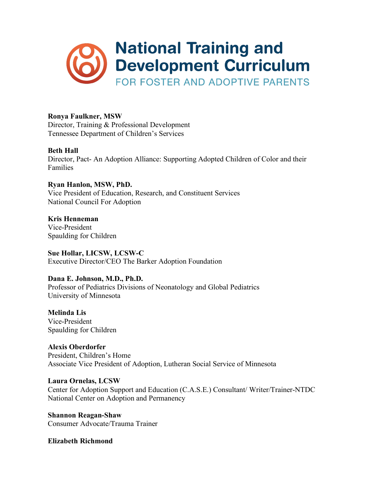

## **Ronya Faulkner, MSW**

Director, Training & Professional Development Tennessee Department of Children's Services

## **Beth Hall**

Director, Pact- An Adoption Alliance: Supporting Adopted Children of Color and their Families

**Ryan Hanlon, MSW, PhD.** Vice President of Education, Research, and Constituent Services National Council For Adoption

**Kris Henneman** Vice-President Spaulding for Children

**Sue Hollar, LICSW, LCSW-C**  Executive Director/CEO The Barker Adoption Foundation

**Dana E. Johnson, M.D., Ph.D.** 

Professor of Pediatrics Divisions of Neonatology and Global Pediatrics University of Minnesota

**Melinda Lis** Vice-President Spaulding for Children

**Alexis Oberdorfer** President, Children's Home Associate Vice President of Adoption, Lutheran Social Service of Minnesota

**Laura Ornelas, LCSW** Center for Adoption Support and Education (C.A.S.E.) Consultant/ Writer/Trainer-NTDC National Center on Adoption and Permanency

**Shannon Reagan-Shaw** Consumer Advocate/Trauma Trainer

**Elizabeth Richmond**